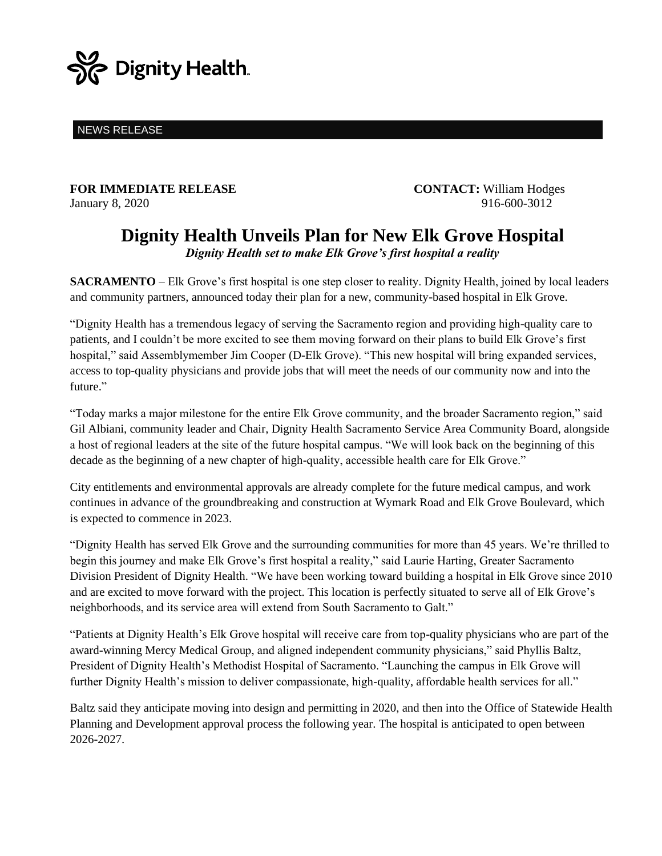

NEWS RELEASE

**FOR IMMEDIATE RELEASE CONTACT:** William Hodges January 8, 2020 916-600-3012

## **Dignity Health Unveils Plan for New Elk Grove Hospital** *Dignity Health set to make Elk Grove's first hospital a reality*

**SACRAMENTO** – Elk Grove's first hospital is one step closer to reality. Dignity Health, joined by local leaders and community partners, announced today their plan for a new, community-based hospital in Elk Grove.

"Dignity Health has a tremendous legacy of serving the Sacramento region and providing high-quality care to patients, and I couldn't be more excited to see them moving forward on their plans to build Elk Grove's first hospital," said Assemblymember Jim Cooper (D-Elk Grove). "This new hospital will bring expanded services, access to top-quality physicians and provide jobs that will meet the needs of our community now and into the future."

"Today marks a major milestone for the entire Elk Grove community, and the broader Sacramento region," said Gil Albiani, community leader and Chair, Dignity Health Sacramento Service Area Community Board, alongside a host of regional leaders at the site of the future hospital campus. "We will look back on the beginning of this decade as the beginning of a new chapter of high-quality, accessible health care for Elk Grove."

City entitlements and environmental approvals are already complete for the future medical campus, and work continues in advance of the groundbreaking and construction at Wymark Road and Elk Grove Boulevard, which is expected to commence in 2023.

"Dignity Health has served Elk Grove and the surrounding communities for more than 45 years. We're thrilled to begin this journey and make Elk Grove's first hospital a reality," said Laurie Harting, Greater Sacramento Division President of Dignity Health. "We have been working toward building a hospital in Elk Grove since 2010 and are excited to move forward with the project. This location is perfectly situated to serve all of Elk Grove's neighborhoods, and its service area will extend from South Sacramento to Galt."

"Patients at Dignity Health's Elk Grove hospital will receive care from top-quality physicians who are part of the award-winning Mercy Medical Group, and aligned independent community physicians," said Phyllis Baltz, President of Dignity Health's Methodist Hospital of Sacramento. "Launching the campus in Elk Grove will further Dignity Health's mission to deliver compassionate, high-quality, affordable health services for all."

Baltz said they anticipate moving into design and permitting in 2020, and then into the Office of Statewide Health Planning and Development approval process the following year. The hospital is anticipated to open between 2026-2027.